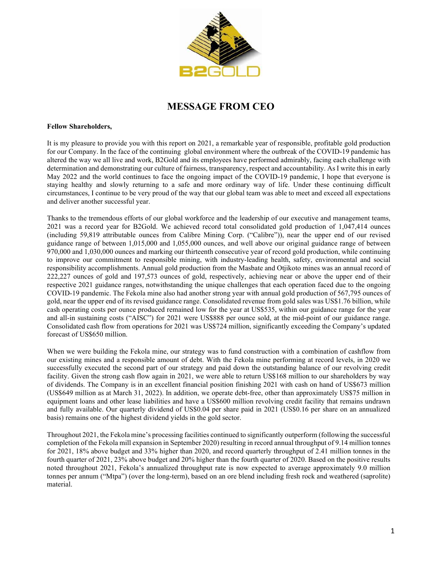

## **MESSAGE FROM CEO**

## **Fellow Shareholders,**

It is my pleasure to provide you with this report on 2021, a remarkable year of responsible, profitable gold production for our Company. In the face of the continuing global environment where the outbreak of the COVID-19 pandemic has altered the way we all live and work, B2Gold and its employees have performed admirably, facing each challenge with determination and demonstrating our culture of fairness, transparency, respect and accountability. As I write this in early May 2022 and the world continues to face the ongoing impact of the COVID-19 pandemic, I hope that everyone is staying healthy and slowly returning to a safe and more ordinary way of life. Under these continuing difficult circumstances, I continue to be very proud of the way that our global team was able to meet and exceed all expectations and deliver another successful year.

Thanks to the tremendous efforts of our global workforce and the leadership of our executive and management teams, 2021 was a record year for B2Gold. We achieved record total consolidated gold production of 1,047,414 ounces (including 59,819 attributable ounces from Calibre Mining Corp. ("Calibre")), near the upper end of our revised guidance range of between 1,015,000 and 1,055,000 ounces, and well above our original guidance range of between 970,000 and 1,030,000 ounces and marking our thirteenth consecutive year of record gold production, while continuing to improve our commitment to responsible mining, with industry-leading health, safety, environmental and social responsibility accomplishments. Annual gold production from the Masbate and Otjikoto mines was an annual record of 222,227 ounces of gold and 197,573 ounces of gold, respectively, achieving near or above the upper end of their respective 2021 guidance ranges, notwithstanding the unique challenges that each operation faced due to the ongoing COVID-19 pandemic. The Fekola mine also had another strong year with annual gold production of 567,795 ounces of gold, near the upper end of its revised guidance range. Consolidated revenue from gold sales was US\$1.76 billion, while cash operating costs per ounce produced remained low for the year at US\$535, within our guidance range for the year and all-in sustaining costs ("AISC") for 2021 were US\$888 per ounce sold, at the mid-point of our guidance range. Consolidated cash flow from operations for 2021 was US\$724 million, significantly exceeding the Company's updated forecast of US\$650 million.

When we were building the Fekola mine, our strategy was to fund construction with a combination of cashflow from our existing mines and a responsible amount of debt. With the Fekola mine performing at record levels, in 2020 we successfully executed the second part of our strategy and paid down the outstanding balance of our revolving credit facility. Given the strong cash flow again in 2021, we were able to return US\$168 million to our shareholders by way of dividends. The Company is in an excellent financial position finishing 2021 with cash on hand of US\$673 million (US\$649 million as at March 31, 2022). In addition, we operate debt-free, other than approximately US\$75 million in equipment loans and other lease liabilities and have a US\$600 million revolving credit facility that remains undrawn and fully available. Our quarterly dividend of US\$0.04 per share paid in 2021 (US\$0.16 per share on an annualized basis) remains one of the highest dividend yields in the gold sector.

Throughout 2021, the Fekola mine's processing facilities continued to significantly outperform (following the successful completion of the Fekola mill expansion in September 2020) resulting in record annual throughput of 9.14 million tonnes for 2021, 18% above budget and 33% higher than 2020, and record quarterly throughput of 2.41 million tonnes in the fourth quarter of 2021, 23% above budget and 20% higher than the fourth quarter of 2020. Based on the positive results noted throughout 2021, Fekola's annualized throughput rate is now expected to average approximately 9.0 million tonnes per annum ("Mtpa") (over the long-term), based on an ore blend including fresh rock and weathered (saprolite) material.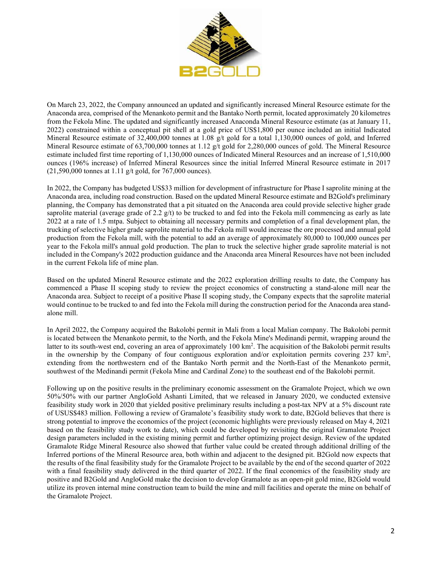

On March 23, 2022, the Company announced an updated and significantly increased Mineral Resource estimate for the Anaconda area, comprised of the Menankoto permit and the Bantako North permit, located approximately 20 kilometres from the Fekola Mine. The updated and significantly increased Anaconda Mineral Resource estimate (as at January 11, 2022) constrained within a conceptual pit shell at a gold price of US\$1,800 per ounce included an initial Indicated Mineral Resource estimate of 32,400,000 tonnes at 1.08 g/t gold for a total 1,130,000 ounces of gold, and Inferred Mineral Resource estimate of 63,700,000 tonnes at 1.12 g/t gold for 2,280,000 ounces of gold. The Mineral Resource estimate included first time reporting of 1,130,000 ounces of Indicated Mineral Resources and an increase of 1,510,000 ounces (196% increase) of Inferred Mineral Resources since the initial Inferred Mineral Resource estimate in 2017 (21,590,000 tonnes at 1.11 g/t gold, for 767,000 ounces).

In 2022, the Company has budgeted US\$33 million for development of infrastructure for Phase I saprolite mining at the Anaconda area, including road construction. Based on the updated Mineral Resource estimate and B2Gold's preliminary planning, the Company has demonstrated that a pit situated on the Anaconda area could provide selective higher grade saprolite material (average grade of 2.2 g/t) to be trucked to and fed into the Fekola mill commencing as early as late 2022 at a rate of 1.5 mtpa. Subject to obtaining all necessary permits and completion of a final development plan, the trucking of selective higher grade saprolite material to the Fekola mill would increase the ore processed and annual gold production from the Fekola mill, with the potential to add an average of approximately 80,000 to 100,000 ounces per year to the Fekola mill's annual gold production. The plan to truck the selective higher grade saprolite material is not included in the Company's 2022 production guidance and the Anaconda area Mineral Resources have not been included in the current Fekola life of mine plan.

Based on the updated Mineral Resource estimate and the 2022 exploration drilling results to date, the Company has commenced a Phase II scoping study to review the project economics of constructing a stand-alone mill near the Anaconda area. Subject to receipt of a positive Phase II scoping study, the Company expects that the saprolite material would continue to be trucked to and fed into the Fekola mill during the construction period for the Anaconda area standalone mill.

In April 2022, the Company acquired the Bakolobi permit in Mali from a local Malian company. The Bakolobi permit is located between the Menankoto permit, to the North, and the Fekola Mine's Medinandi permit, wrapping around the latter to its south-west end, covering an area of approximately 100 km<sup>2</sup>. The acquisition of the Bakolobi permit results in the ownership by the Company of four contiguous exploration and/or exploitation permits covering 237 km<sup>2</sup>, extending from the northwestern end of the Bantako North permit and the North-East of the Menankoto permit, southwest of the Medinandi permit (Fekola Mine and Cardinal Zone) to the southeast end of the Bakolobi permit.

Following up on the positive results in the preliminary economic assessment on the Gramalote Project, which we own 50%/50% with our partner AngloGold Ashanti Limited, that we released in January 2020, we conducted extensive feasibility study work in 2020 that yielded positive preliminary results including a post-tax NPV at a 5% discount rate of USUS\$483 million. Following a review of Gramalote's feasibility study work to date, B2Gold believes that there is strong potential to improve the economics of the project (economic highlights were previously released on May 4, 2021 based on the feasibility study work to date), which could be developed by revisiting the original Gramalote Project design parameters included in the existing mining permit and further optimizing project design. Review of the updated Gramalote Ridge Mineral Resource also showed that further value could be created through additional drilling of the Inferred portions of the Mineral Resource area, both within and adjacent to the designed pit. B2Gold now expects that the results of the final feasibility study for the Gramalote Project to be available by the end of the second quarter of 2022 with a final feasibility study delivered in the third quarter of 2022. If the final economics of the feasibility study are positive and B2Gold and AngloGold make the decision to develop Gramalote as an open-pit gold mine, B2Gold would utilize its proven internal mine construction team to build the mine and mill facilities and operate the mine on behalf of the Gramalote Project.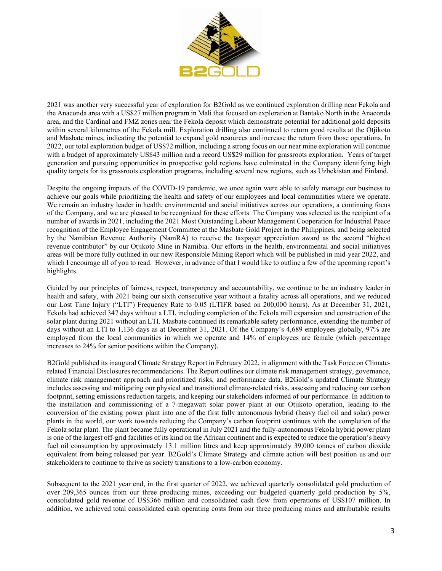

2021 was another very successful year of exploration for B2Gold as we continued exploration drilling near Fekola and the Anaconda area with a US\$27 million program in Mali that focused on exploration at Bantako North in the Anaconda area, and the Cardinal and FMZ zones near the Fekola deposit which demonstrate potential for additional gold deposits within several kilometres of the Fekola mill. Exploration drilling also continued to return good results at the Otjikoto and Masbate mines, indicating the potential to expand gold resources and increase the return from those operations. In 2022, our total exploration budget of US\$72 million, including a strong focus on our near mine exploration will continue with a budget of approximately US\$43 million and a record US\$29 million for grassroots exploration. Years of target generation and pursuing opportunities in prospective gold regions have culminated in the Company identifying high quality targets for its grassroots exploration programs, including several new regions, such as Uzbekistan and Finland.

Despite the ongoing impacts of the COVID-19 pandemic, we once again were able to safely manage our business to achieve our goals while prioritizing the health and safety of our employees and local communities where we operate. We remain an industry leader in health, environmental and social initiatives across our operations, a continuing focus of the Company, and we are pleased to be recognized for these efforts. The Company was selected as the recipient of a number of awards in 2021, including the 2021 Most Outstanding Labour Management Cooperation for Industrial Peace recognition of the Employee Engagement Committee at the Masbate Gold Project in the Philippines, and being selected by the Namibian Revenue Authority (NamRA) to receive the taxpayer appreciation award as the second "highest revenue contributor" by our Otjikoto Mine in Namibia. Our efforts in the health, environmental and social initiatives areas will be more fully outlined in our new Responsible Mining Report which will be published in mid-year 2022, and which I encourage all of you to read. However, in advance of that I would like to outline a few of the upcoming report's highlights.

Guided by our principles of fairness, respect, transparency and accountability, we continue to be an industry leader in health and safety, with 2021 being our sixth consecutive year without a fatality across all operations, and we reduced our Lost Time Injury ("LTI") Frequency Rate to 0.05 (LTIFR based on 200,000 hours). As at December 31, 2021, Fekola had achieved 347 days without a LTI, including completion of the Fekola mill expansion and construction of the solar plant during 2021 without an LTI. Masbate continued its remarkable safety performance, extending the number of days without an LTI to 1,136 days as at December 31, 2021. Of the Company's 4,689 employees globally, 97% are employed from the local communities in which we operate and 14% of employees are female (which percentage increases to 24% for senior positions within the Company).

B2Gold published its inaugural Climate Strategy Report in February 2022, in alignment with the Task Force on Climaterelated Financial Disclosures recommendations. The Report outlines our climate risk management strategy, governance, climate risk management approach and prioritized risks, and performance data. B2Gold's updated Climate Strategy includes assessing and mitigating our physical and transitional climate-related risks, assessing and reducing our carbon footprint, setting emissions reduction targets, and keeping our stakeholders informed of our performance. In addition to the installation and commissioning of a 7-megawatt solar power plant at our Otjikoto operation, leading to the conversion of the existing power plant into one of the first fully autonomous hybrid (heavy fuel oil and solar) power plants in the world, our work towards reducing the Company's carbon footprint continues with the completion of the Fekola solar plant. The plant became fully operational in July 2021 and the fully-autonomous Fekola hybrid power plant is one of the largest off-grid facilities of its kind on the African continent and is expected to reduce the operation's heavy fuel oil consumption by approximately 13.1 million litres and keep approximately 39,000 tonnes of carbon dioxide equivalent from being released per year. B2Gold's Climate Strategy and climate action will best position us and our stakeholders to continue to thrive as society transitions to a low-carbon economy.

Subsequent to the 2021 year end, in the first quarter of 2022, we achieved quarterly consolidated gold production of over 209,365 ounces from our three producing mines, exceeding our budgeted quarterly gold production by 5%, consolidated gold revenue of US\$366 million and consolidated cash flow from operations of US\$107 million. In addition, we achieved total consolidated cash operating costs from our three producing mines and attributable results